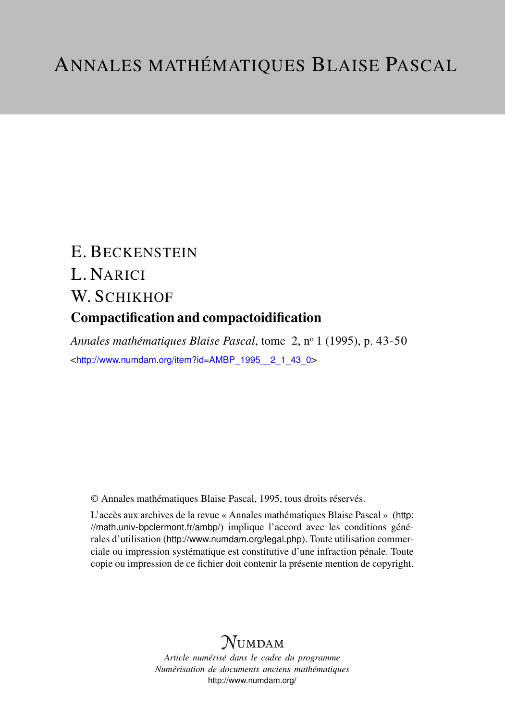# E. BECKENSTEIN L. NARICI W. SCHIKHOF Compactification and compactoidification

*Annales mathématiques Blaise Pascal*, tome 2, n<sup>o</sup> 1 (1995), p. 43-50 <[http://www.numdam.org/item?id=AMBP\\_1995\\_\\_2\\_1\\_43\\_0](http://www.numdam.org/item?id=AMBP_1995__2_1_43_0)>

© Annales mathématiques Blaise Pascal, 1995, tous droits réservés.

L'accès aux archives de la revue « Annales mathématiques Blaise Pascal » ([http:](http://math.univ-bpclermont.fr/ambp/) [//math.univ-bpclermont.fr/ambp/](http://math.univ-bpclermont.fr/ambp/)) implique l'accord avec les conditions générales d'utilisation (<http://www.numdam.org/legal.php>). Toute utilisation commerciale ou impression systématique est constitutive d'une infraction pénale. Toute copie ou impression de ce fichier doit contenir la présente mention de copyright.

# **NUMDAM**

*Article numérisé dans le cadre du programme Numérisation de documents anciens mathématiques* <http://www.numdam.org/>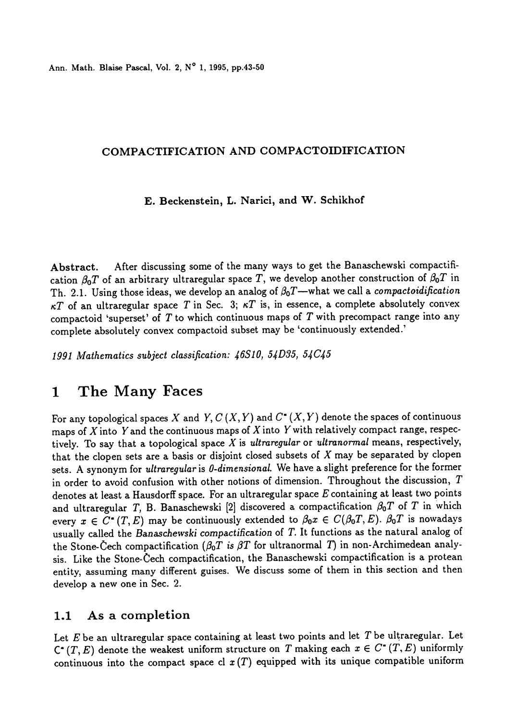Ann. Math. Blaise Pascal, Vol. 2, N° 1, 1995, pp.43-50

#### COMPACTIFICATION AND COMPACTOIDIFICATION

#### E. Beckenstein, L. Narici, and W. Schikhof

Abstract. After discussing some of the many ways to get the Banaschewski compactification  $\beta_0T$  of an arbitrary ultraregular space T, we develop another construction of  $\beta_0T$  in Th. 2.1. Using those ideas, we develop an analog of  $\beta_0T$ —what we call a compactoidification  $\kappa T$  of an ultraregular space T in Sec. 3;  $\kappa T$  is, in essence, a complete absolutely convex compactoid 'superset' of  $T$  to which continuous maps of  $T$  with precompact range into any complete absolutely convex compactoid subset may be 'continuously extended.'

1991 Mathematics subject classification: 46S10, 54D35, 54C45

# 1 The Many Faces

For any topological spaces X and Y,  $C(X, Y)$  and  $C^*(X, Y)$  denote the spaces of continuous maps of  $X$  into  $Y$  and the continuous maps of  $X$  into  $Y$  with relatively compact range, respectively. To say that a topological space  $X$  is ultraregular or ultranormal means, respectively, that the clopen sets are a basis or disjoint closed subsets of  $X$  may be separated by clopen sets. A synonym for ultraregular is 0-dimensional. We have a slight preference for the former in order to avoid confusion with other notions of dimension. Throughout the discussion, T denotes at least a Hausdorff space. For an ultraregular space  $E$  containing at least two points and ultraregular T, B. Banaschewski [2] discovered a compactification  $\beta_0T$  of T in which every  $x \in C^*(T, E)$  may be continuously extended to  $\beta_0x \in C(\beta_0T, E)$ .  $\beta_0T$  is nowadays usually called the Banaschewski compactification of T. It functions as the natural analog of the Stone-Cech compactification ( $\beta_0T$  is  $\beta T$  for ultranormal T) in non-Archimedean analysis. Like the Stone-Cech compactification, the Banaschewski compactification is a protean entity, assuming many different guises. We discuss some of them in this section and then develop a new one in Sec. 2.

## 1.1 As a completion

Let  $E$  be an ultraregular space containing at least two points and let  $T$  be ultraregular. Let  $C^*(T, E)$  denote the weakest uniform structure on T making each  $x \in C^*(T, E)$  uniformly continuous into the compact space cl  $x(T)$  equipped with its unique compatible uniform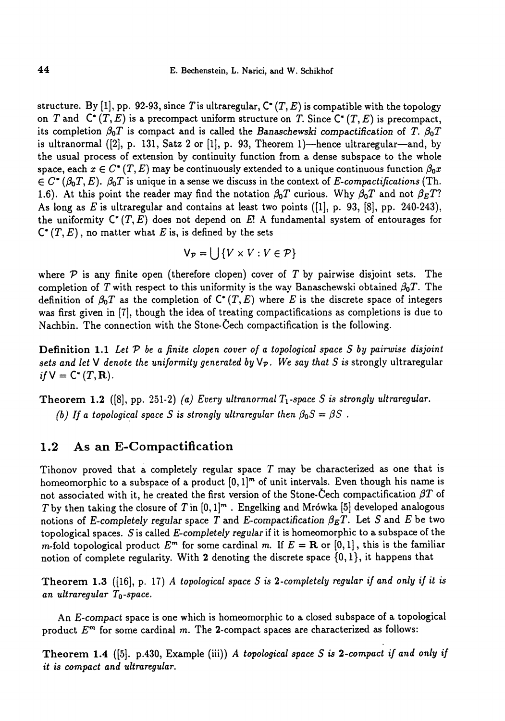structure. By [1], pp. 92-93, since T is ultraregular,  $C^*(T, E)$  is compatible with the topology on T and  $C^*(T, E)$  is a precompact uniform structure on T. Since  $C^*(T, E)$  is precompact, its completion  $\beta_0T$  is compact and is called the Banaschewski compactification of T.  $\beta_0T$ is ultranormal  $([2], p. 131, Satz 2 or [1], p. 93, Theorem 1)$ -hence ultraregular-and, by the usual process of extension by continuity function from a dense subspace to the whole space, each  $x \in C^*(T, E)$  may be continuously extended to a unique continuous function  $\beta_0 x$  $\in C^*(\beta_0T, E)$ .  $\beta_0T$  is unique in a sense we discuss in the context of E-compactifications (Th. 1.6). At this point the reader may find the notation  $\beta_0T$  curious. Why  $\beta_0T$  and not  $\beta_ET$ ? As long as E is ultraregular and contains at least two points  $([1], p. 93, [8], pp. 240-243)$ . the uniformity  $C^*(T, E)$  does not depend on E! A fundamental system of entourages for  $C^*(T, E)$ , no matter what E is, is defined by the sets

$$
V_{\mathcal{P}} = \bigcup \{ V \times V : V \in \mathcal{P} \}
$$

where  $P$  is any finite open (therefore clopen) cover of T by pairwise disjoint sets. The completion of T with respect to this uniformity is the way Banaschewski obtained  $\beta_0T$ . The definition of  $\beta_0 T$  as the completion of  $C^*(T, E)$  where E is the discrete space of integers was first given in [7], though the idea of treating compactifications as completions is due to Nachbin. The connection with the Stone-Cech compactification is the following.

**Definition 1.1** Let  $P$  be a finite clopen cover of a topological space  $S$  by pairwise disjoint sets and let V denote the uniformity generated by  $\mathsf{V}_p$ . We say that S is strongly ultraregular if  $V = C^*(T, \mathbf{R}).$ 

Theorem 1.2 ([8], pp. 251-2) (a) Every ultranormal  $T_1$ -space S is strongly ultraregular. (b) If a topological space S is strongly ultraregular then  $\beta_0S=\beta S$ .

### 1.2 As an E-Compactification

Tihonov proved that a completely regular space T may be characterized as one that is homeomorphic to a subspace of a product  $[0, 1]^m$  of unit intervals. Even though his name is not associated with it, he created the first version of the Stone-Cech compactification  $\beta T$  of T by then taking the closure of T in  $[0, 1]^m$ . Engelking and Mrówka  $[5]$  developed analogous notions of E-completely regular space T and E-compactification  $\beta_E T$ . Let S and E be two topological spaces. S is called E-completely regular if it is homeomorphic to a subspace of the m-fold topological product  $E^m$  for some cardinal m. If  $E = \mathbf{R}$  or  $[0, 1]$ , this is the familiar notion of complete regularity. With 2 denoting the discrete space {0,1 }, it happens that

Theorem 1.3 ([16], p. 17) A topological space S is 2-completely regular if and only if it is an ultraregular  $T_0$ -space.

An E-compact space is one which is homeomorphic to a closed subspace of a topological product  $E^m$  for some cardinal m. The 2-compact spaces are characterized as follows:

Theorem 1.4 ([5]. p.430, Example (iii)) A topological space  $S$  is 2-compact if and only if it is compact and ultraregular.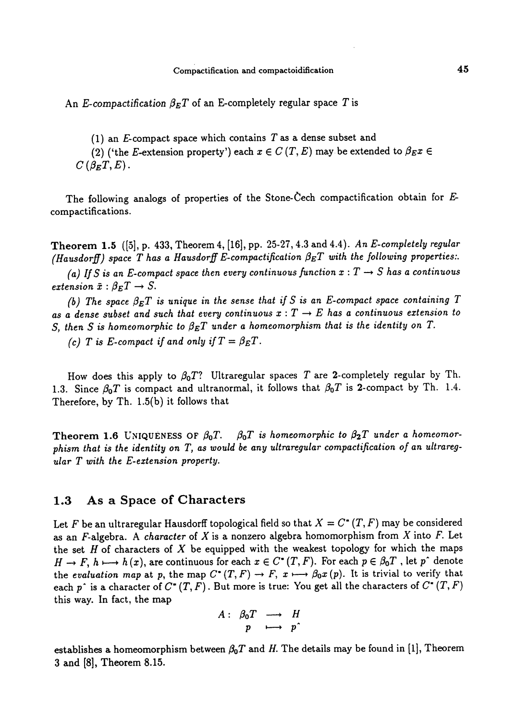An E-compactification  $\beta_E T$  of an E-completely regular space T is

(1) an  $E$ -compact space which contains  $T$  as a dense subset and

(2) ('the E-extension property') each  $x \in C(T, E)$  may be extended to  $\beta_E x \in$  $C(\beta_F T, E)$ .

The following analogs of properties of the Stone-Cech compactification obtain for Ecompactifications.

Theorem 1.5 ([5], p. 433, Theorem 4, [16], pp. 25-27, 4.3 and 4.4). An E-completely regular (Hausdorff) space T has a Hausdorff E-compactification  $\beta_E T$  with the following properties:.

(a) If S is an E-compact space then every continuous function  $x : T \rightarrow S$  has a continuous extension  $\bar{x}: \beta_E T \rightarrow S$ .

(b) The space  $\beta_E T$  is unique in the sense that if S is an E-compact space containing T as a dense subset and such that every continuous  $x : T \to E$  has a continuous extension to S, then S is homeomorphic to  $\beta_E T$  under a homeomorphism that is the identity on T.

(c) T is E-compact if and only if  $T = \beta_E T$ .

How does this apply to  $\beta_0 T$ ? Ultraregular spaces T are 2-completely regular by Th. 1.3. Since  $\beta_0 T$  is compact and ultranormal, it follows that  $\beta_0 T$  is 2-compact by Th. 1.4. Therefore, by Th. 1.5(b) it follows that

Theorem 1.6 UNIQUENESS OF  $\beta_0 T$ .  $\beta_0 T$  is homeomorphic to  $\beta_2 T$  under a homeomorphism that is the identity on T, as would be any ultraregular compactification of an ultraregular T with the E-extension property.

### 1.3 As a Space of Characters

Let F be an ultraregular Hausdorff topological field so that  $X = C^*(T, F)$  may be considered as an F-algebra. A character of X is a nonzero algebra homomorphism from X into F. Let the set  $H$  of characters of  $X$  be equipped with the weakest topology for which the maps  $H \to F$ ,  $h \mapsto h(x)$ , are continuous for each  $x \in C^*(T, F)$ . For each  $p \in \beta_0 T$ , let p<sup>o</sup> denote the evaluation map at p, the map  $C^*(T, F) \to F$ ,  $x \mapsto \beta_0 x(p)$ . It is trivial to verify that each p<sup>o</sup> is a character of  $C^*(T, F)$ . But more is true: You get all the characters of  $C^*(T, F)$ this way. In fact, the map

$$
A: \begin{array}{ccc} \beta_0 T & \longrightarrow & H \\ p & \longmapsto & p^* \end{array}
$$

establishes a homeomorphism between  $\beta_0T$  and H. The details may be found in [1], Theorem 3 and [8], Theorem 8.15.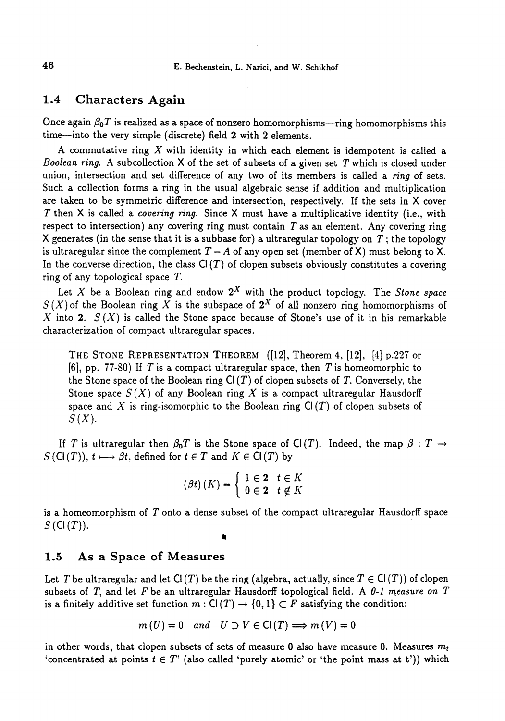#### 1.4 Characters Again

Once again  $\beta_0T$  is realized as a space of nonzero homomorphisms-ring homomorphisms this time-into the very simple (discrete) field 2 with 2 elements.

A commutative ring  $X$  with identity in which each element is idempotent is called a Boolean ring. A subcollection  $X$  of the set of subsets of a given set  $T$  which is closed under union, intersection and set difference of any two of its members is called a ring of sets. Such a collection forms a ring in the usual algebraic sense if addition and multiplication are taken to be symmetric difference and intersection, respectively. If the sets in X cover T then X is called a *covering ring*. Since X must have a multiplicative identity (i.e., with respect to intersection) any covering ring must contain  $T$  as an element. Any covering ring X generates (in the sense that it is a subbase for) a ultraregular topology on  $T$ ; the topology is ultraregular since the complement  $T - A$  of any open set (member of X) must belong to X. In the converse direction, the class  $Cl(T)$  of clopen subsets obviously constitutes a covering ring of any topological space T.

Let X be a Boolean ring and endow  $2^X$  with the product topology. The Stone space  $S(X)$  of the Boolean ring X is the subspace of  $2^X$  of all nonzero ring homomorphisms of X into 2.  $S(X)$  is called the Stone space because of Stone's use of it in his remarkable characterization of compact ultraregular spaces.

THE STONE REPRESENTATION THEOREM ([12], Theorem 4, [12], [4] p.227 or [6], pp. 77-80) If T is a compact ultraregular space, then T is homeomorphic to the Stone space of the Boolean ring  $Cl(T)$  of clopen subsets of T. Conversely, the Stone space  $S(X)$  of any Boolean ring X is a compact ultraregular Hausdorff space and X is ring-isomorphic to the Boolean ring  $Cl(T)$  of clopen subsets of  $S(X)$ .

If T is ultraregular then  $\beta_0T$  is the Stone space of CI(T). Indeed, the map  $\beta$ : T  $\rightarrow$  $S(\mathsf{Cl}(T)), t \longmapsto \beta t$ , defined for  $t \in T$  and  $K \in \mathsf{Cl}(T)$  by

$$
(\beta t) (K) = \begin{cases} 1 \in \mathbf{2} & t \in K \\ 0 \in \mathbf{2} & t \notin K \end{cases}
$$

is a homeomorphism of T onto a dense subset of the compact ultraregular Hausdorff space  $S$  (Cl  $(T)$ ).

### 1.5 As a Space of Measures

Let T be ultraregular and let  $Cl(T)$  be the ring (algebra, actually, since  $T \in Cl(T)$ ) of clopen subsets of T, and let F be an ultraregular Hausdorff topological field. A 0-1 measure on  $T$ is a finitely additive set function  $m: Cl(T) \rightarrow \{0,1\} \subset F$  satisfying the condition:

$$
m(U) = 0
$$
 and  $U \supset V \in Cl(T) \Longrightarrow m(V) = 0$ 

in other words, that clopen subsets of sets of measure 0 also have measure 0. Measures  $m_t$ 'concentrated at points  $t \in T$ ' (also called 'purely atomic' or 'the point mass at t')) which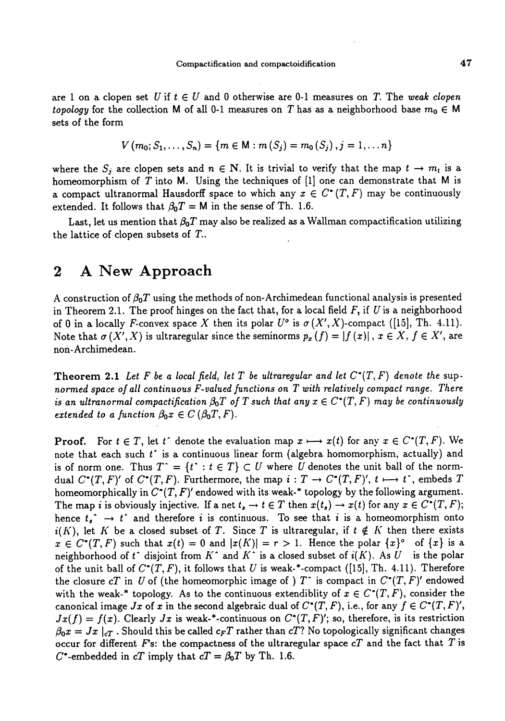are 1 on a clopen set U if  $t \in U$  and 0 otherwise are 0-1 measures on T. The weak clopen topology for the collection M of all 0-1 measures on T has as a neighborhood base  $m_0 \in M$ sets of the form

$$
V(m_0; S_1, \ldots, S_n) = \{m \in M : m(S_j) = m_0(S_j), j = 1, \ldots n\}
$$

where the  $S_j$  are clopen sets and  $n \in \mathbb{N}$ . It is trivial to verify that the map  $t \to m_t$  is a homeomorphism of T into M. Using the techniques of  $[1]$  one can demonstrate that M is a compact ultranormal Hausdorff space to which any  $x \in C^*(T, F)$  may be continuously extended. It follows that  $\beta_0T = M$  in the sense of Th. 1.6.

Last, let us mention that  $\beta_0T$  may also be realized as a Wallman compactification utilizing the lattice of clopen subsets of T..

## 2 A New Approach

A construction of  $\beta_0T$  using the methods of non-Archimedean functional analysis is presented in Theorem 2.1. The proof hinges on the fact that, for a local field  $F$ , if  $U$  is a neighborhood of 0 in a locally F-convex space X then its polar  $U^{\circ}$  is  $\sigma(X', X)$ -compact ([15], Th. 4.11). Note that  $\sigma(X', X)$  is ultraregular since the seminorms  $p_x ( f ) = |f(x)|$ ,  $x \in X, f \in X'$ , are non-Archimedean.

**Theorem 2.1** Let F be a local field, let T be ultraregular and let  $C^*(T, F)$  denote the supnormed space of all continuous F-valued functions on T with relatively compact range. There is an ultranormal compactification  $\beta_0T$  of T such that any  $x \in C^*(T, F)$  may be continuously extended to a function  $\beta_0 x \in C (\beta_0 T, F)$ .

**Proof.** For  $t \in T$ , let  $t^{\text{-}}$  denote the evaluation map  $x \mapsto x(t)$  for any  $x \in C^*(T, F)$ . We note that each such  $t^*$  is a continuous linear form (algebra homomorphism, actually) and is of norm one. Thus  $T^* = \{t^* : t \in T\} \subset U$  where U denotes the unit ball of the normdual  $C^*(T, F)'$  of  $C^*(T, F)$ . Furthermore, the map  $i : T \to C^*(T, F)'$ ,  $t \mapsto t^*$ , embeds T homeomorphically in  $C^*(T, F)'$  endowed with its weak-\* topology by the following argument. The map i is obviously injective. If a net  $t_{s} \to t \in T$  then  $x(t_{s}) \to x(t)$  for any  $x \in C^{*}(T, F);$ hence  $t_i^* \rightarrow t^*$  and therefore i is continuous. To see that i is a homeomorphism onto  $i(K)$ , let K be a closed subset of T. Since T is ultraregular, if  $t \notin K$  then there exists  $x \in C^{*}(T, F)$  such that  $x(t) = 0$  and  $|x(K)| = r > 1$ . Hence the polar  $\{x\}^{\circ}$  of  $\{x\}$  is a neighborhood of t disjoint from K and K is a closed subset of  $i(K)$ . As U is the polar of the unit ball of  $C^*(T, F)$ , it follows that U is weak-\*-compact ([15], Th. 4.11). Therefore the closure cT in U of (the homeomorphic image of )  $T^*$  is compact in  $C^*(T, F)'$  endowed with the weak-\* topology. As to the continuous extendiblity of  $x \in C^{*}(T, F)$ , consider the canonical image Jx of x in the second algebraic dual of  $C^*(T, F)$ , i.e., for any  $f \in C^*(T, F)'$ ,  $Jx(f) = f(x)$ . Clearly  $Jx$  is weak-\*-continuous on  $C^*(T, F)'$ ; so, therefore, is its restriction  $\beta_0 x = Jx \mid_{c}$ . Should this be called  $c_F T$  rather than cT? No topologically significant changes occur for different F's: the compactness of the ultraregular space  $cT$  and the fact that T is C\*-embedded in cT imply that  $cT = \beta_0T$  by Th. 1.6.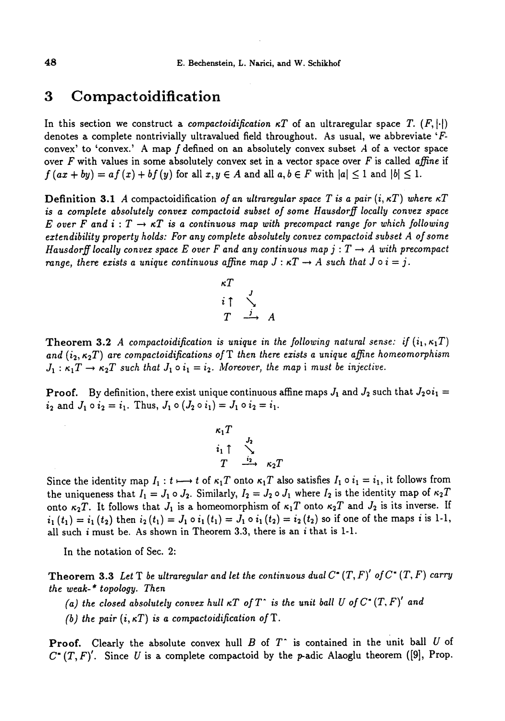## 3 Compactoidification

In this section we construct a *compactoidification*  $\kappa T$  of an ultraregular space T.  $(F, |\cdot|)$ denotes a complete nontrivially ultravalued field throughout. As usual, we abbreviate 'Fconvex' to 'convex.' A map  $f$  defined on an absolutely convex subset  $A$  of a vector space over F with values in some absolutely convex set in a vector space over F is called affine if  $f(ax + by) = af(x) + bf(y)$  for all  $x, y \in A$  and all  $a, b \in F$  with  $|a| \leq 1$  and  $|b| \leq 1$ .

**Definition 3.1** A compactoidification of an ultraregular space T is a pair  $(i, \kappa T)$  where  $\kappa T$ is a complete absolutely convex compactoid subset of some Hausdorff locally convex space E over F and  $i: T \to \kappa T$  is a continuous map with precompact range for which following extendibility property holds: For any complete absolutely convex compactoid subset A of some Hausdorff locally convex space E over F and any continuous map  $j: T \rightarrow A$  with precompact range, there exists a unique continuous affine map  $J : \kappa T \to A$  such that  $J \circ i = j$ .



**Theorem 3.2** A compactoidification is unique in the following natural sense: if  $(i_1, \kappa_1T)$ and  $(i_2, \kappa_2 T)$  are compactoidifications of T then there exists a unique affine homeomorphism  $J_1 : \kappa_1 T \to \kappa_2 T$  such that  $J_1 \circ i_1 = i_2$ . Moreover, the map i must be injective.

**Proof.** By definition, there exist unique continuous affine maps  $J_1$  and  $J_2$  such that  $J_2 \circ i_1 =$  $i_2$  and  $J_1 \circ i_2 = i_1$ . Thus,  $J_1 \circ (J_2 \circ i_1) = J_1 \circ i_2 = i_1$ .

$$
\begin{array}{c}\n\kappa_1 T \\
i_1 \uparrow \quad \searrow \\
T \quad \stackrel{i_2}{\longrightarrow} \quad \kappa_2 T\n\end{array}
$$

Since the identity map  $I_1: t \mapsto t$  of  $\kappa_1 T$  onto  $\kappa_1 T$  also satisfies  $I_1 \circ i_1 = i_1$ , it follows from the uniqueness that  $I_1 = J_1 \circ J_2$ . Similarly,  $I_2 = J_2 \circ J_1$  where  $I_2$  is the identity map of  $\kappa_2 T$ onto  $\kappa_2 T$ . It follows that  $J_1$  is a homeomorphism of  $\kappa_1 T$  onto  $\kappa_2 T$  and  $J_2$  is its inverse. If  $i_1(t_1) = i_1(t_2)$  then  $i_2(t_1) = J_1 \circ i_1(t_1) = J_1 \circ i_1(t_2) = i_2(t_2)$  so if one of the maps i is 1-1, all such i must be. As shown in Theorem 3.3, there is an i that is 1-1.

In the notation of Sec. 2:

Theorem 3.3 Let T be ultraregular and let the continuous dual  $C^*(T, F)'$  of  $C^*(T, F)$  carry the weak-\* topology. Then

(a) the closed absolutely convex hull  $\kappa T$  of  $T^*$  is the unit ball U of  $C^*$   $(T, F)'$  and

(b) the pair  $(i, \kappa T)$  is a compactoidification of T.

**Proof.** Clearly the absolute convex hull  $B$  of  $T^{\dagger}$  is contained in the unit ball U of  $C^*(T, F)'$ . Since U is a complete compactoid by the p-adic Alaoglu theorem ([9], Prop.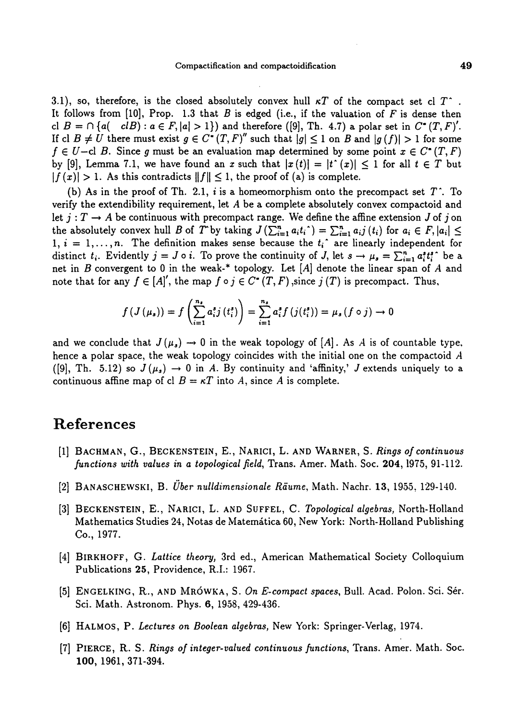3.1), so, therefore, is the closed absolutely convex hull  $\kappa T$  of the compact set cl  $T^*$ . It follows from  $[10]$ , Prop. 1.3 that B is edged (i.e., if the valuation of F is dense then cl  $B = \bigcap \{a(-c) \mid c \in F, |a| > 1\}$  and therefore ([9], Th. 4.7) a polar set in  $C^*(T, F)'$ . If cl  $B \neq U$  there must exist  $g \in C^*(T, F)'$  such that  $|g| \leq 1$  on B and  $|g(f)| > 1$  for some  $f \in U$ -cl B. Since g must be an evaluation map determined by some point  $x \in C^*(T, F)$ by [9], Lemma 7.1, we have found an x such that  $|x(t)| = |t'(x)| \leq 1$  for all  $t \in T$  but  $|f(x)| > 1$ . As this contradicts  $||f|| \leq 1$ , the proof of (a) is complete.

(b) As in the proof of Th. 2.1, i is a homeomorphism onto the precompact set  $T^*$ . To verify the extendibility requirement, let A be a complete absolutely convex compactoid and let  $j: T \to A$  be continuous with precompact range. We define the affine extension J of j on the absolutely convex hull B of T by taking  $J\left(\sum_{i=1}^n a_it_i\right) = \sum_{i=1}^n a_ij(t_i)$  for  $a_i \in F, |a_i| \leq$  $1, i = 1, \ldots, n$ . The definition makes sense because the  $t_i$  are linearly independent for distinct  $t_i$ . Evidently  $j = J \circ i$ . To prove the continuity of J, let  $s \to \mu_s = \sum_{i=1}^n a_i^s t_i^s$  be a net in  $B$  convergent to 0 in the weak-\* topology. Let  $[A]$  denote the linear span of  $A$  and note that for any  $f \in [A]'$ , the map  $f \circ j \in C^*(T, F)$ , since  $j(T)$  is precompact. Thus,

$$
f(J(\mu_s)) = f\left(\sum_{i=1}^{n_s} a_i^s j(t_i^s)\right) = \sum_{i=1}^{n_s} a_i^s f(j(t_i^s)) = \mu_s(f \circ j) \to 0
$$

and we conclude that  $J(\mu_s) \to 0$  in the weak topology of [A]. As A is of countable type, hence a polar space, the weak topology coincides with the initial one on the compactoid A ([9], Th. 5.12) so  $J(\mu_s) \to 0$  in A. By continuity and 'affinity,' J extends uniquely to a continuous affine map of cl  $B = \kappa T$  into A, since A is complete.

## References

- [1] BACHMAN, G., BECKENSTEIN, E., NARICI, L. AND WARNER, S. Rings of continuous functions with values in a topological field, Trans. Amer. Math. Soc. 204, 1975, 91-112.
- [2] BANASCHEWSKI, B. Über nulldimensionale Räume, Math. Nachr. 13, 1955, 129-140.
- [3] BECKENSTEIN, E., NARICI, L. AND SUFFEL, C. Topological algebras, North-Holland Mathematics Studies 24, Notas de Matemática 60, New York: North-Holland Publishing Co., 1977.
- [4] BIRKHOFF, G. Lattice theory, 3rd ed., American Mathematical Society Colloquium Publications 25, Providence, R.I.: 1967.
- [5] ENGELKING, R., AND MRÓWKA, S. On E-compact spaces, Bull. Acad. Polon. Sci. Sér. Sci. Math. Astronom. Phys. 6, 1958, 429-436.
- [6] HALMOS, P. Lectures on Boolean algebras, New York: Springer-Verlag, 1974.
- [7] PIERCE, R. S. Rings of integer-valued continuous functions, Trans. Amer. Math. Soc. 100, 1961, 371-394.